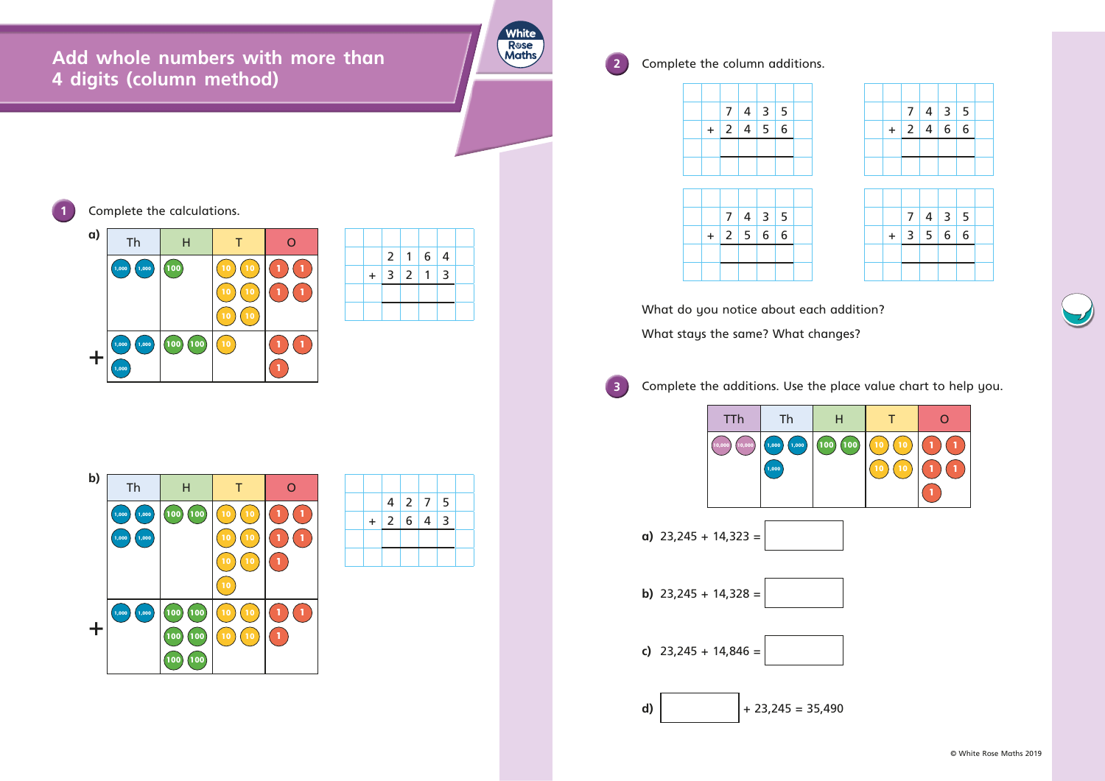**Add whole numbers with more than 4 digits (column method)**



**2** Complete the column additions.



What do you notice about each addition? What stays the same? What changes?





**Complete the calculations.** 

| b) | Th             | H                        |                       | ∩      |
|----|----------------|--------------------------|-----------------------|--------|
|    | 1,000<br>1,000 | 100<br>100               | 10<br>10              | 1      |
|    | 1,000<br>1,000 |                          | 10<br>10              | 1<br>1 |
|    |                |                          | 10<br>10              | 1      |
|    |                |                          | 10                    |        |
|    | 1,000<br>1,000 | <b>100</b><br><b>100</b> | 10<br>10              | 1<br>1 |
| ╇  |                | <b>100</b><br>100        | $\overline{10}$<br>10 | 1      |
|    |                | 100<br>100               |                       |        |

|     | 2 <sup>1</sup> |                | $6 \mid 4$ |   |  |
|-----|----------------|----------------|------------|---|--|
| $+$ | $\overline{3}$ | $\overline{2}$ |            | 3 |  |
|     |                |                |            |   |  |
|     |                |                |            |   |  |

|  |             | 4 2 7 5 |  |
|--|-------------|---------|--|
|  | $+ 2 6 4 3$ |         |  |
|  |             |         |  |
|  |             |         |  |

|     | $\overline{7}$ |               | $4 \mid 3 \mid 5$ |  |
|-----|----------------|---------------|-------------------|--|
| $+$ |                | 2   4   6   6 |                   |  |
|     |                |               |                   |  |
|     |                |               |                   |  |

|     | 7 <sup>1</sup> | $4 \mid 3 \mid 5$ |  |
|-----|----------------|-------------------|--|
| $+$ | $\overline{3}$ | 5 6 6             |  |
|     |                |                   |  |
|     |                |                   |  |